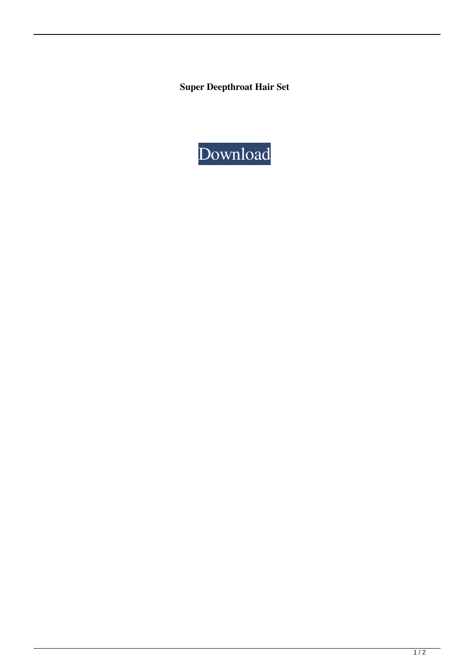**Super Deepthroat Hair Set**